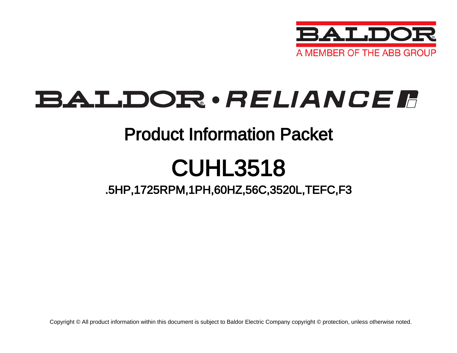

## BALDOR · RELIANCE F

### Product Information Packet

# CUHL3518

.5HP,1725RPM,1PH,60HZ,56C,3520L,TEFC,F3

Copyright © All product information within this document is subject to Baldor Electric Company copyright © protection, unless otherwise noted.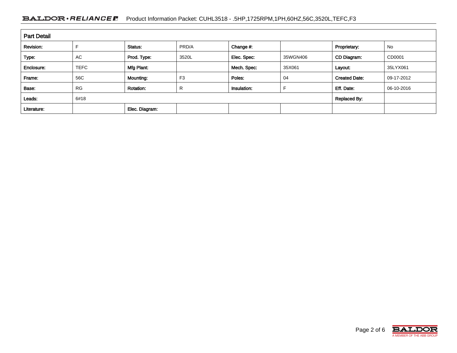#### BALDOR · RELIANCE F Product Information Packet: CUHL3518 - .5HP,1725RPM,1PH,60HZ,56C,3520L,TEFC,F3

| <b>Part Detail</b> |             |                     |                |             |          |                      |            |  |  |
|--------------------|-------------|---------------------|----------------|-------------|----------|----------------------|------------|--|--|
| Revision:          |             | Status:             | PRD/A          | Change #:   |          | Proprietary:         | No         |  |  |
| Type:              | <b>AC</b>   | Prod. Type:         | 3520L          | Elec. Spec: | 35WGN406 | CD Diagram:          | CD0001     |  |  |
| Enclosure:         | <b>TEFC</b> | Mfg Plant:          |                | Mech. Spec: | 35X061   | Layout:              | 35LYX061   |  |  |
| Frame:             | 56C         | Mounting:           | F <sub>3</sub> | Poles:      | 04       | <b>Created Date:</b> | 09-17-2012 |  |  |
| Base:              | <b>RG</b>   | <b>Rotation:</b>    | R              | Insulation: |          | Eff. Date:           | 06-10-2016 |  |  |
| Leads:             | 6#18        | <b>Replaced By:</b> |                |             |          |                      |            |  |  |
| Literature:        |             | Elec. Diagram:      |                |             |          |                      |            |  |  |

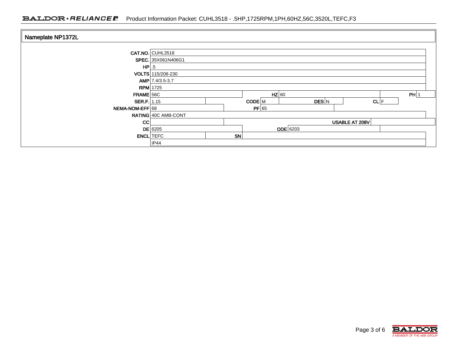#### BALDOR · RELIANCE F Product Information Packet: CUHL3518 - .5HP,1725RPM,1PH,60HZ,56C,3520L,TEFC,F3

| Nameplate NP1372L |                     |    |                |       |  |      |  |  |  |
|-------------------|---------------------|----|----------------|-------|--|------|--|--|--|
|                   | CAT.NO. CUHL3518    |    |                |       |  |      |  |  |  |
|                   | SPEC. 35X061N406G1  |    |                |       |  |      |  |  |  |
|                   | $HP \, .5$          |    |                |       |  |      |  |  |  |
|                   | VOLTS 115/208-230   |    |                |       |  |      |  |  |  |
|                   | AMP 7.4/3.5-3.7     |    |                |       |  |      |  |  |  |
|                   | <b>RPM</b> 1725     |    |                |       |  |      |  |  |  |
| $FRAME$ 56C       |                     |    | $HZ$ 60        |       |  | PH 1 |  |  |  |
| SER.F. 1.15       |                     |    | CODE M         | DES N |  | CL F |  |  |  |
| NEMA-NOM-EFF 68   |                     |    | $PF$ 65        |       |  |      |  |  |  |
|                   | RATING 40C AMB-CONT |    |                |       |  |      |  |  |  |
| CC                |                     |    | USABLE AT 208V |       |  |      |  |  |  |
|                   | $DE$ 6205           |    | ODE 6203       |       |  |      |  |  |  |
| <b>ENCL</b> TEFC  |                     | SN |                |       |  |      |  |  |  |
|                   | IP44                |    |                |       |  |      |  |  |  |

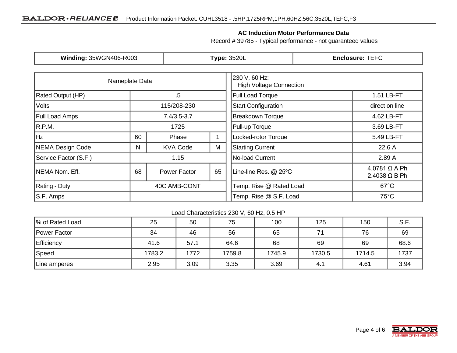#### **AC Induction Motor Performance Data**

Record # 39785 - Typical performance - not guaranteed values

| <b>Winding: 35WGN406-R003</b> |              |                 | <b>Type: 3520L</b>                              | <b>Enclosure: TEFC</b>  |                                                |  |  |
|-------------------------------|--------------|-----------------|-------------------------------------------------|-------------------------|------------------------------------------------|--|--|
| Nameplate Data                |              |                 | 230 V, 60 Hz:<br><b>High Voltage Connection</b> |                         |                                                |  |  |
| Rated Output (HP)             | $.5\,$       |                 | <b>Full Load Torque</b>                         | 1.51 LB-FT              |                                                |  |  |
| <b>Volts</b>                  | 115/208-230  |                 | <b>Start Configuration</b>                      | direct on line          |                                                |  |  |
| <b>Full Load Amps</b>         |              | $7.4/3.5 - 3.7$ |                                                 | <b>Breakdown Torque</b> | 4.62 LB-FT                                     |  |  |
| R.P.M.                        | 1725         |                 |                                                 | Pull-up Torque          | 3.69 LB-FT                                     |  |  |
| Hz                            | 60           | Phase           |                                                 | Locked-rotor Torque     | 5.49 LB-FT                                     |  |  |
| NEMA Design Code              | N            | <b>KVA Code</b> | M                                               | <b>Starting Current</b> | 22.6 A                                         |  |  |
| Service Factor (S.F.)         |              | 1.15            |                                                 | No-load Current         | 2.89 A                                         |  |  |
| NEMA Nom. Eff.                | 68           | Power Factor    | 65                                              | Line-line Res. @ 25°C   | $4.0781$ $\Omega$ A Ph<br>$2.4038 \Omega$ B Ph |  |  |
| <b>Rating - Duty</b>          | 40C AMB-CONT |                 | Temp. Rise @ Rated Load                         | $67^{\circ}$ C          |                                                |  |  |
| S.F. Amps                     |              |                 |                                                 | Temp. Rise @ S.F. Load  | $75^{\circ}$ C                                 |  |  |

#### Load Characteristics 230 V, 60 Hz, 0.5 HP

| % of Rated Load   | 25     | 50   | 75     | 100    | 125    | 150    | 9 P<br> |
|-------------------|--------|------|--------|--------|--------|--------|---------|
| Power Factor      | 34     | 46   | 56     | 65     | 74     | 76     | 69      |
| <b>Efficiency</b> | 41.6   | 57.1 | 64.6   | 68     | 69     | 69     | 68.6    |
| Speed             | 1783.2 | 1772 | 1759.8 | 1745.9 | 1730.5 | 1714.5 | 1737    |
| ∣Line amperes     | 2.95   | 3.09 | 3.35   | 3.69   | 4.1    | 4.61   | 3.94    |

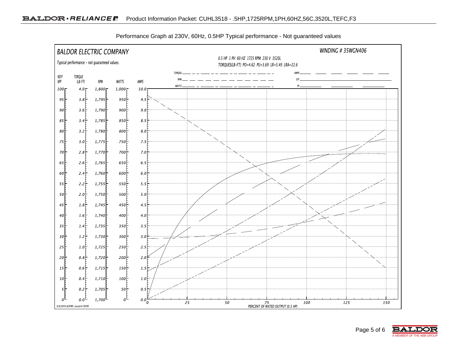

Performance Graph at 230V, 60Hz, 0.5HP Typical performance - Not guaranteed values

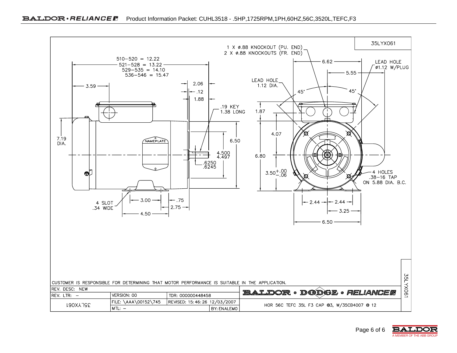